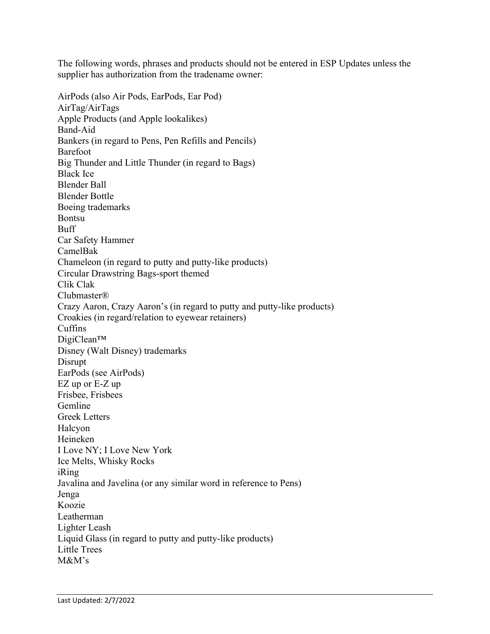The following words, phrases and products should not be entered in ESP Updates unless the supplier has authorization from the tradename owner:

AirPods (also Air Pods, EarPods, Ear Pod) AirTag/AirTags Apple Products (and Apple lookalikes) Band-Aid Bankers (in regard to Pens, Pen Refills and Pencils) Barefoot Big Thunder and Little Thunder (in regard to Bags) Black Ice Blender Ball Blender Bottle Boeing trademarks Bontsu Buff Car Safety Hammer CamelBak Chameleon (in regard to putty and putty-like products) Circular Drawstring Bags-sport themed Clik Clak Clubmaster® Crazy Aaron, Crazy Aaron's (in regard to putty and putty-like products) Croakies (in regard/relation to eyewear retainers) Cuffins DigiClean™ Disney (Walt Disney) trademarks Disrupt EarPods (see AirPods) EZ up or E-Z up Frisbee, Frisbees Gemline Greek Letters Halcyon Heineken I Love NY; I Love New York Ice Melts, Whisky Rocks iRing Javalina and Javelina (or any similar word in reference to Pens) Jenga Koozie Leatherman Lighter Leash Liquid Glass (in regard to putty and putty-like products) Little Trees M&M's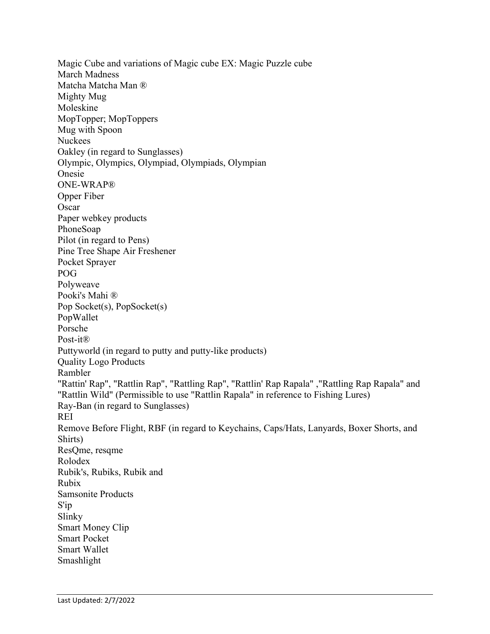Magic Cube and variations of Magic cube EX: Magic Puzzle cube March Madness Matcha Matcha Man ® Mighty Mug Moleskine MopTopper; MopToppers Mug with Spoon Nuckees Oakley (in regard to Sunglasses) Olympic, Olympics, Olympiad, Olympiads, Olympian Onesie ONE-WRAP® Opper Fiber **Oscar** Paper webkey products PhoneSoap Pilot (in regard to Pens) Pine Tree Shape Air Freshener Pocket Sprayer POG Polyweave Pooki's Mahi ® Pop Socket(s), PopSocket(s) PopWallet Porsche Post-it® Puttyworld (in regard to putty and putty-like products) Quality Logo Products Rambler "Rattin' Rap", "Rattlin Rap", "Rattling Rap", "Rattlin' Rap Rapala" ,"Rattling Rap Rapala" and "Rattlin Wild" (Permissible to use "Rattlin Rapala" in reference to Fishing Lures) Ray-Ban (in regard to Sunglasses) REI Remove Before Flight, RBF (in regard to Keychains, Caps/Hats, Lanyards, Boxer Shorts, and Shirts) ResQme, resqme Rolodex Rubik's, Rubiks, Rubik and Rubix Samsonite Products S'ip Slinky Smart Money Clip Smart Pocket Smart Wallet Smashlight